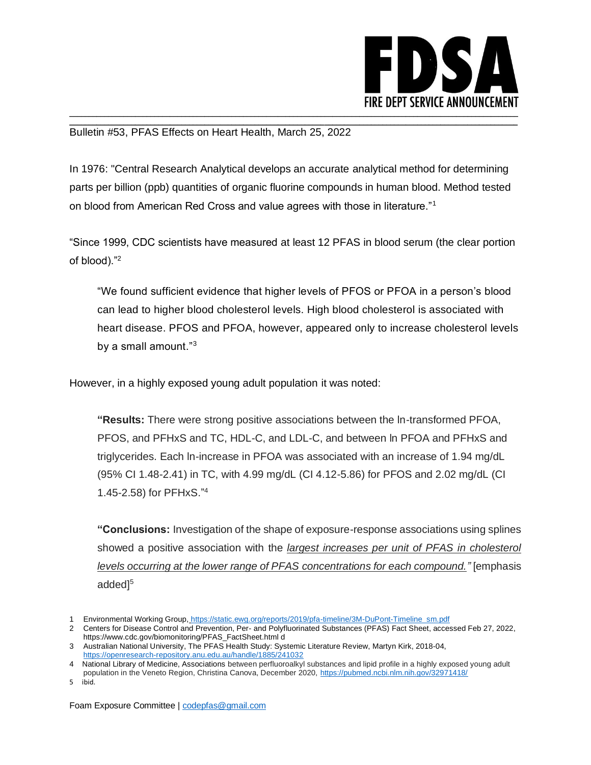

Bulletin #53, PFAS Effects on Heart Health, March 25, 2022

In 1976: "Central Research Analytical develops an accurate analytical method for determining parts per billion (ppb) quantities of organic fluorine compounds in human blood. Method tested on blood from American Red Cross and value agrees with those in literature."<sup>1</sup>

\_\_\_\_\_\_\_\_\_\_\_\_\_\_\_\_\_\_\_\_\_\_\_\_\_\_\_\_\_\_\_\_\_\_\_\_\_\_\_\_\_\_\_\_\_\_\_\_\_\_\_\_\_\_\_\_\_\_\_\_\_\_\_\_\_\_\_\_\_\_\_\_\_\_\_\_\_\_\_\_\_\_\_\_\_\_\_\_\_\_\_\_\_\_\_\_\_\_\_\_\_\_\_\_\_\_\_\_\_\_\_\_\_\_\_\_

"Since 1999, CDC scientists have measured at least 12 PFAS in blood serum (the clear portion of blood)."<sup>2</sup>

"We found sufficient evidence that higher levels of PFOS or PFOA in a person's blood can lead to higher blood cholesterol levels. High blood cholesterol is associated with heart disease. PFOS and PFOA, however, appeared only to increase cholesterol levels by a small amount."<sup>3</sup>

However, in a highly exposed young adult population it was noted:

**"Results:** There were strong positive associations between the ln-transformed PFOA, PFOS, and PFHxS and TC, HDL-C, and LDL-C, and between ln PFOA and PFHxS and triglycerides. Each ln-increase in PFOA was associated with an increase of 1.94 mg/dL (95% CI 1.48-2.41) in TC, with 4.99 mg/dL (CI 4.12-5.86) for PFOS and 2.02 mg/dL (CI 1.45-2.58) for PFHxS." 4

**"Conclusions:** Investigation of the shape of exposure-response associations using splines showed a positive association with the *largest increases per unit of PFAS in cholesterol levels occurring at the lower range of PFAS concentrations for each compound."* [emphasis added]<sup>5</sup>

5 ibid.

<sup>1</sup> Environmental Working Group, https://static.ewg.org/reports/2019/pfa-timeline/3M-DuPont-Timeline\_sm.pdf

<sup>2</sup> Centers for Disease Control and Prevention, Per- and Polyfluorinated Substances (PFAS) Fact Sheet, accessed Feb 27, 2022, https://www.cdc.gov/biomonitoring/PFAS\_FactSheet.html d

<sup>3</sup> Australian National University, The PFAS Health Study: Systemic Literature Review, Martyn Kirk, 2018-04, <https://openresearch-repository.anu.edu.au/handle/1885/241032>

<sup>4</sup> National Library of Medicine, Associations between perfluoroalkyl substances and lipid profile in a highly exposed young adult population in the Veneto Region, Christina Canova, December 2020,<https://pubmed.ncbi.nlm.nih.gov/32971418/>